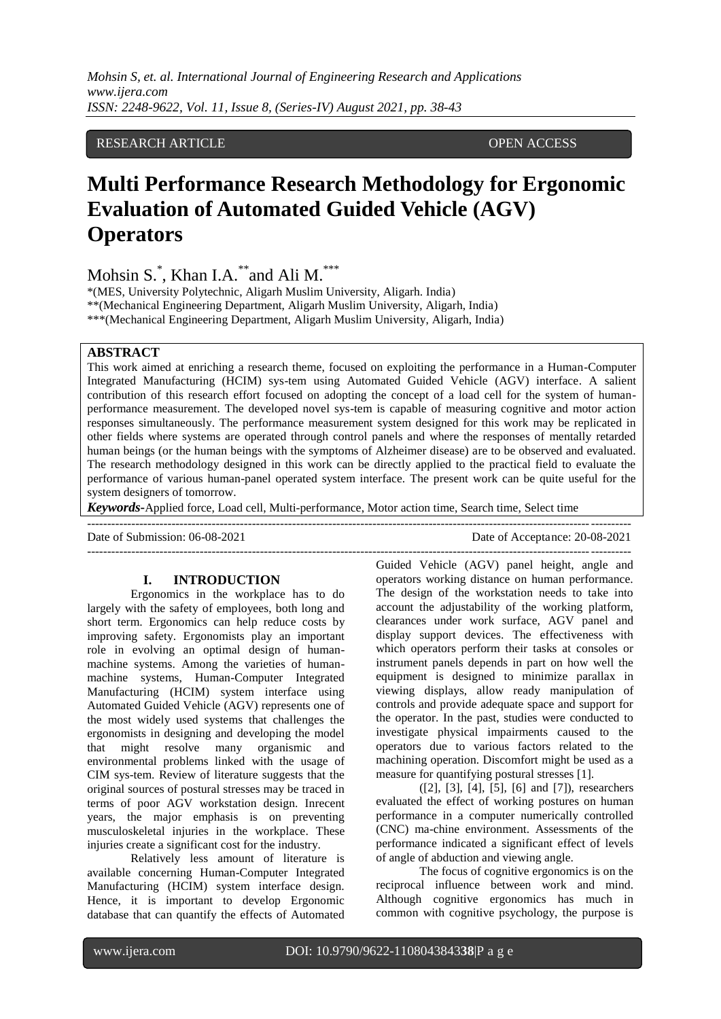*Mohsin S, et. al. International Journal of Engineering Research and Applications www.ijera.com ISSN: 2248-9622, Vol. 11, Issue 8, (Series-IV) August 2021, pp. 38-43*

# RESEARCH ARTICLE **OPEN ACCESS**

# **Multi Performance Research Methodology for Ergonomic Evaluation of Automated Guided Vehicle (AGV) Operators**

Mohsin S.\* , Khan I.A.\*\*and Ali M.\*\*\*

\*(MES, University Polytechnic, Aligarh Muslim University, Aligarh. India)

\*\*(Mechanical Engineering Department, Aligarh Muslim University, Aligarh, India)

\*\*\*(Mechanical Engineering Department, Aligarh Muslim University, Aligarh, India)

---------------------------------------------------------------------------------------------------------------------------------------

## **ABSTRACT**

This work aimed at enriching a research theme, focused on exploiting the performance in a Human-Computer Integrated Manufacturing (HCIM) sys-tem using Automated Guided Vehicle (AGV) interface. A salient contribution of this research effort focused on adopting the concept of a load cell for the system of humanperformance measurement. The developed novel sys-tem is capable of measuring cognitive and motor action responses simultaneously. The performance measurement system designed for this work may be replicated in other fields where systems are operated through control panels and where the responses of mentally retarded human beings (or the human beings with the symptoms of Alzheimer disease) are to be observed and evaluated. The research methodology designed in this work can be directly applied to the practical field to evaluate the performance of various human-panel operated system interface. The present work can be quite useful for the system designers of tomorrow.

*Keywords***-**Applied force, Load cell, Multi-performance, Motor action time, Search time, Select time

Date of Submission: 06-08-2021 Date of Acceptance: 20-08-2021

#### **I. INTRODUCTION**

Ergonomics in the workplace has to do largely with the safety of employees, both long and short term. Ergonomics can help reduce costs by improving safety. Ergonomists play an important role in evolving an optimal design of humanmachine systems. Among the varieties of humanmachine systems, Human-Computer Integrated Manufacturing (HCIM) system interface using Automated Guided Vehicle (AGV) represents one of the most widely used systems that challenges the ergonomists in designing and developing the model that might resolve many organismic and environmental problems linked with the usage of CIM sys-tem. Review of literature suggests that the original sources of postural stresses may be traced in terms of poor AGV workstation design. Inrecent years, the major emphasis is on preventing musculoskeletal injuries in the workplace. These injuries create a significant cost for the industry.

Relatively less amount of literature is available concerning Human-Computer Integrated Manufacturing (HCIM) system interface design. Hence, it is important to develop Ergonomic database that can quantify the effects of Automated

Guided Vehicle (AGV) panel height, angle and operators working distance on human performance. The design of the workstation needs to take into account the adjustability of the working platform, clearances under work surface, AGV panel and display support devices. The effectiveness with which operators perform their tasks at consoles or instrument panels depends in part on how well the equipment is designed to minimize parallax in viewing displays, allow ready manipulation of controls and provide adequate space and support for the operator. In the past, studies were conducted to investigate physical impairments caused to the operators due to various factors related to the machining operation. Discomfort might be used as a measure for quantifying postural stresses [1].

---------------------------------------------------------------------------------------------------------------------------------------

([2], [3], [4], [5], [6] and [7]), researchers evaluated the effect of working postures on human performance in a computer numerically controlled (CNC) ma-chine environment. Assessments of the performance indicated a significant effect of levels of angle of abduction and viewing angle.

The focus of cognitive ergonomics is on the reciprocal influence between work and mind. Although cognitive ergonomics has much in common with cognitive psychology, the purpose is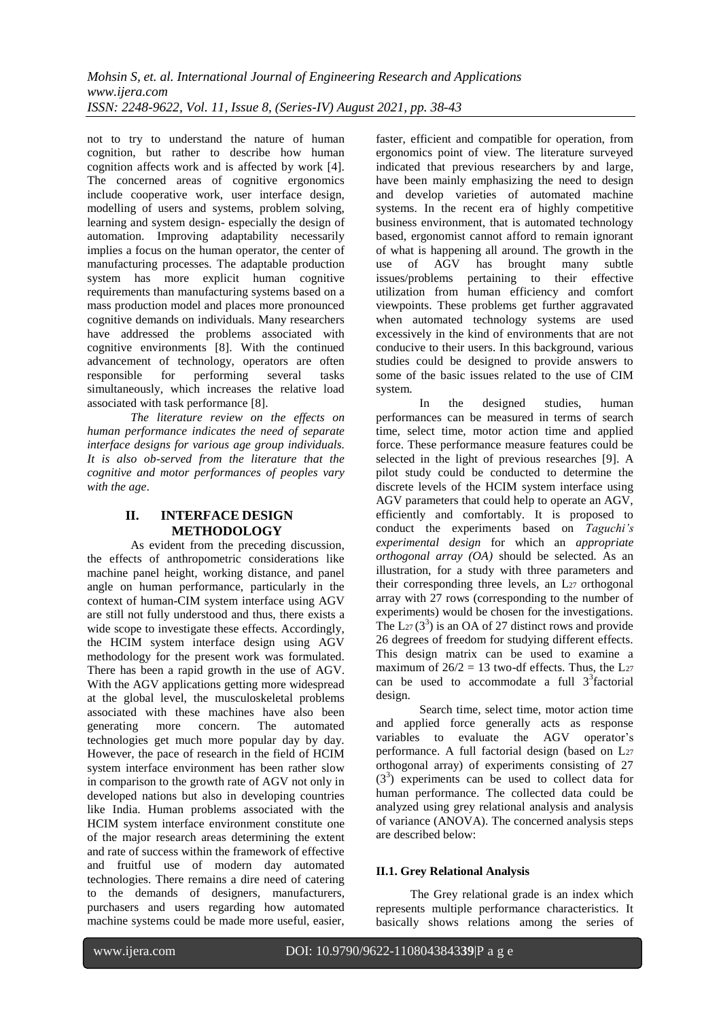not to try to understand the nature of human cognition, but rather to describe how human cognition affects work and is affected by work [4]. The concerned areas of cognitive ergonomics include cooperative work, user interface design, modelling of users and systems, problem solving, learning and system design- especially the design of automation. Improving adaptability necessarily implies a focus on the human operator, the center of manufacturing processes. The adaptable production system has more explicit human cognitive requirements than manufacturing systems based on a mass production model and places more pronounced cognitive demands on individuals. Many researchers have addressed the problems associated with cognitive environments [8]. With the continued advancement of technology, operators are often<br>responsible for performing several tasks performing several tasks simultaneously, which increases the relative load associated with task performance [8].

*The literature review on the effects on human performance indicates the need of separate interface designs for various age group individuals. It is also ob-served from the literature that the cognitive and motor performances of peoples vary with the age*.

# **II. INTERFACE DESIGN METHODOLOGY**

As evident from the preceding discussion, the effects of anthropometric considerations like machine panel height, working distance, and panel angle on human performance, particularly in the context of human-CIM system interface using AGV are still not fully understood and thus, there exists a wide scope to investigate these effects. Accordingly, the HCIM system interface design using AGV methodology for the present work was formulated. There has been a rapid growth in the use of AGV. With the AGV applications getting more widespread at the global level, the musculoskeletal problems associated with these machines have also been<br>generating more concern. The automated generating more concern. The automated technologies get much more popular day by day. However, the pace of research in the field of HCIM system interface environment has been rather slow in comparison to the growth rate of AGV not only in developed nations but also in developing countries like India. Human problems associated with the HCIM system interface environment constitute one of the major research areas determining the extent and rate of success within the framework of effective and fruitful use of modern day automated technologies. There remains a dire need of catering to the demands of designers, manufacturers, purchasers and users regarding how automated machine systems could be made more useful, easier,

faster, efficient and compatible for operation, from ergonomics point of view. The literature surveyed indicated that previous researchers by and large, have been mainly emphasizing the need to design and develop varieties of automated machine systems. In the recent era of highly competitive business environment, that is automated technology based, ergonomist cannot afford to remain ignorant of what is happening all around. The growth in the use of AGV has brought many subtle issues/problems pertaining to their effective utilization from human efficiency and comfort viewpoints. These problems get further aggravated when automated technology systems are used excessively in the kind of environments that are not conducive to their users. In this background, various studies could be designed to provide answers to some of the basic issues related to the use of CIM system.

In the designed studies, human performances can be measured in terms of search time, select time, motor action time and applied force. These performance measure features could be selected in the light of previous researches [9]. A pilot study could be conducted to determine the discrete levels of the HCIM system interface using AGV parameters that could help to operate an AGV, efficiently and comfortably. It is proposed to conduct the experiments based on *Taguchi's experimental design* for which an *appropriate orthogonal array (OA)* should be selected. As an illustration, for a study with three parameters and their corresponding three levels, an L27 orthogonal array with 27 rows (corresponding to the number of experiments) would be chosen for the investigations. The  $L_{27}(3^3)$  is an OA of 27 distinct rows and provide 26 degrees of freedom for studying different effects. This design matrix can be used to examine a maximum of  $26/2 = 13$  two-df effects. Thus, the L<sub>27</sub> can be used to accommodate a full  $3<sup>3</sup>$  factorial design.

Search time, select time, motor action time and applied force generally acts as response variables to evaluate the AGV operator's performance. A full factorial design (based on L<sup>27</sup> orthogonal array) of experiments consisting of 27 (33 ) experiments can be used to collect data for human performance. The collected data could be analyzed using grey relational analysis and analysis of variance (ANOVA). The concerned analysis steps are described below:

# **II.1. Grey Relational Analysis**

The Grey relational grade is an index which represents multiple performance characteristics. It basically shows relations among the series of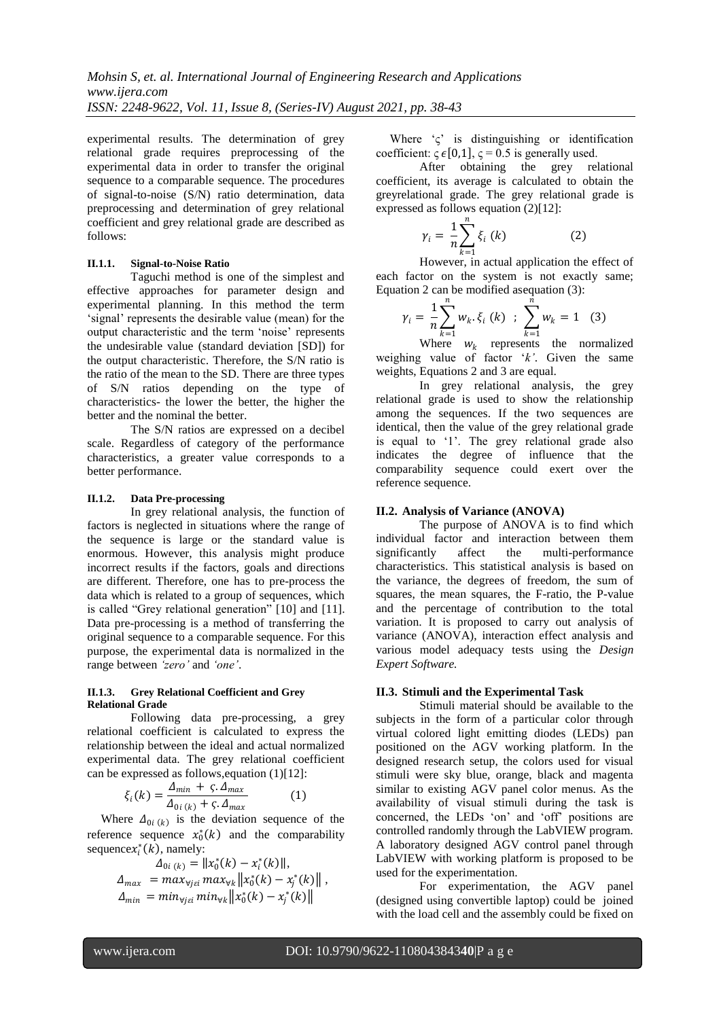experimental results. The determination of grey relational grade requires preprocessing of the experimental data in order to transfer the original sequence to a comparable sequence. The procedures of signal-to-noise (S/N) ratio determination, data preprocessing and determination of grey relational coefficient and grey relational grade are described as follows:

## **II.1.1. Signal-to-Noise Ratio**

Taguchi method is one of the simplest and effective approaches for parameter design and experimental planning. In this method the term "signal" represents the desirable value (mean) for the output characteristic and the term "noise" represents the undesirable value (standard deviation [SD]) for the output characteristic. Therefore, the S/N ratio is the ratio of the mean to the SD. There are three types of S/N ratios depending on the type of characteristics- the lower the better, the higher the better and the nominal the better.

The S/N ratios are expressed on a decibel scale. Regardless of category of the performance characteristics, a greater value corresponds to a better performance.

## **II.1.2. Data Pre-processing**

In grey relational analysis, the function of factors is neglected in situations where the range of the sequence is large or the standard value is enormous. However, this analysis might produce incorrect results if the factors, goals and directions are different. Therefore, one has to pre-process the data which is related to a group of sequences, which is called "Grey relational generation" [10] and [11]. Data pre-processing is a method of transferring the original sequence to a comparable sequence. For this purpose, the experimental data is normalized in the range between *'zero'* and *'one'*.

#### **II.1.3. Grey Relational Coefficient and Grey Relational Grade**

Following data pre-processing, a grey relational coefficient is calculated to express the relationship between the ideal and actual normalized experimental data. The grey relational coefficient can be expressed as follows,equation (1)[12]:

$$
\xi_i(k) = \frac{\Delta_{min} + \varsigma \cdot \Delta_{max}}{\Delta_{0i\,(k)} + \varsigma \cdot \Delta_{max}}\tag{1}
$$

Where  $\Delta_{0i(k)}$  is the deviation sequence of the reference sequence  $x_0^*(k)$  and the comparability sequence  $x_i^*(k)$ , namely:

$$
A_{0i (k)} = ||x_0^*(k) - x_i^*(k)||,
$$
  
\n
$$
A_{max} = max_{\forall j \in i} max_{\forall k} ||x_0^*(k) - x_j^*(k)||,
$$
  
\n
$$
A_{min} = min_{\forall j \in i} min_{\forall k} ||x_0^*(k) - x_j^*(k)||
$$

Where  $\zeta$  is distinguishing or identification coefficient:  $\varsigma \in [0,1]$ ,  $\varsigma = 0.5$  is generally used.

After obtaining the grey relational coefficient, its average is calculated to obtain the greyrelational grade. The grey relational grade is expressed as follows equation (2)[12]:

$$
\gamma_i = \frac{1}{n} \sum_{k=1}^n \xi_i \left( k \right) \tag{2}
$$

 $k=1$ <br>However, in actual application the effect of each factor on the system is not exactly same; Equation 2 can be modified asequation (3):

$$
\gamma_i = \frac{1}{n} \sum_{k=1}^n w_k \cdot \xi_i \ (k) \ ; \ \sum_{k=1}^n w_k = 1 \quad (3)
$$

Where  $w_k$  represents the normalized weighing value of factor "*k'*. Given the same weights, Equations 2 and 3 are equal.

In grey relational analysis, the grey relational grade is used to show the relationship among the sequences. If the two sequences are identical, then the value of the grey relational grade is equal to '1'. The grey relational grade also indicates the degree of influence that the comparability sequence could exert over the reference sequence.

## **II.2. Analysis of Variance (ANOVA)**

The purpose of ANOVA is to find which individual factor and interaction between them<br>significantly affect the multi-performance affect the multi-performance characteristics. This statistical analysis is based on the variance, the degrees of freedom, the sum of squares, the mean squares, the F-ratio, the P-value and the percentage of contribution to the total variation. It is proposed to carry out analysis of variance (ANOVA), interaction effect analysis and various model adequacy tests using the *Design Expert Software.*

#### **II.3. Stimuli and the Experimental Task**

Stimuli material should be available to the subjects in the form of a particular color through virtual colored light emitting diodes (LEDs) pan positioned on the AGV working platform. In the designed research setup, the colors used for visual stimuli were sky blue, orange, black and magenta similar to existing AGV panel color menus. As the availability of visual stimuli during the task is concerned, the LEDs "on" and "off" positions are controlled randomly through the LabVIEW program. A laboratory designed AGV control panel through LabVIEW with working platform is proposed to be used for the experimentation.

For experimentation, the AGV panel (designed using convertible laptop) could be joined with the load cell and the assembly could be fixed on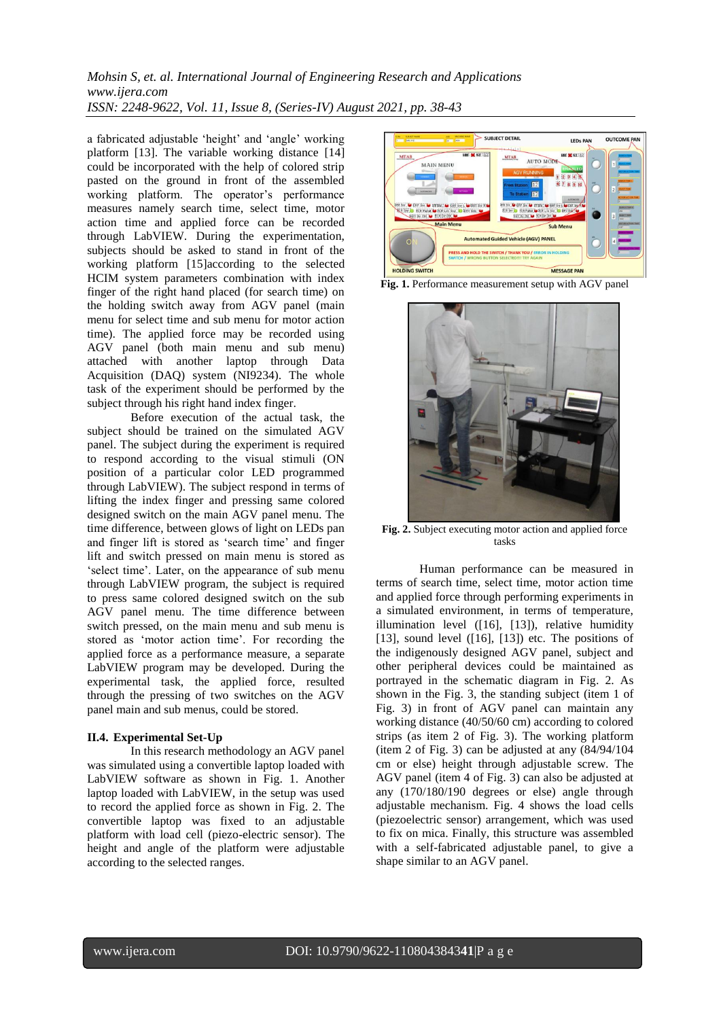*Mohsin S, et. al. International Journal of Engineering Research and Applications www.ijera.com ISSN: 2248-9622, Vol. 11, Issue 8, (Series-IV) August 2021, pp. 38-43*

a fabricated adjustable 'height' and 'angle' working platform [13]. The variable working distance [14] could be incorporated with the help of colored strip pasted on the ground in front of the assembled working platform. The operator's performance measures namely search time, select time, motor action time and applied force can be recorded through LabVIEW. During the experimentation, subjects should be asked to stand in front of the working platform [15]according to the selected HCIM system parameters combination with index finger of the right hand placed (for search time) on the holding switch away from AGV panel (main menu for select time and sub menu for motor action time). The applied force may be recorded using AGV panel (both main menu and sub menu) attached with another laptop through Data Acquisition (DAQ) system (NI9234). The whole task of the experiment should be performed by the subject through his right hand index finger.

Before execution of the actual task, the subject should be trained on the simulated AGV panel. The subject during the experiment is required to respond according to the visual stimuli (ON position of a particular color LED programmed through LabVIEW). The subject respond in terms of lifting the index finger and pressing same colored designed switch on the main AGV panel menu. The time difference, between glows of light on LEDs pan and finger lift is stored as 'search time' and finger lift and switch pressed on main menu is stored as "select time". Later, on the appearance of sub menu through LabVIEW program, the subject is required to press same colored designed switch on the sub AGV panel menu. The time difference between switch pressed, on the main menu and sub menu is stored as "motor action time". For recording the applied force as a performance measure, a separate LabVIEW program may be developed. During the experimental task, the applied force, resulted through the pressing of two switches on the AGV panel main and sub menus, could be stored.

#### **II.4. Experimental Set-Up**

In this research methodology an AGV panel was simulated using a convertible laptop loaded with LabVIEW software as shown in Fig. 1. Another laptop loaded with LabVIEW, in the setup was used to record the applied force as shown in Fig. 2. The convertible laptop was fixed to an adjustable platform with load cell (piezo-electric sensor). The height and angle of the platform were adjustable according to the selected ranges.



**Fig. 1.** Performance measurement setup with AGV panel



**Fig. 2.** Subject executing motor action and applied force tasks

Human performance can be measured in terms of search time, select time, motor action time and applied force through performing experiments in a simulated environment, in terms of temperature, illumination level ([16], [13]), relative humidity [13], sound level  $(16]$ , [13]) etc. The positions of the indigenously designed AGV panel, subject and other peripheral devices could be maintained as portrayed in the schematic diagram in Fig. 2. As shown in the Fig. 3, the standing subject (item 1 of Fig. 3) in front of AGV panel can maintain any working distance (40/50/60 cm) according to colored strips (as item 2 of Fig. 3). The working platform (item 2 of Fig. 3) can be adjusted at any (84/94/104 cm or else) height through adjustable screw. The AGV panel (item 4 of Fig. 3) can also be adjusted at any (170/180/190 degrees or else) angle through adjustable mechanism. Fig. 4 shows the load cells (piezoelectric sensor) arrangement, which was used to fix on mica. Finally, this structure was assembled with a self-fabricated adjustable panel, to give a shape similar to an AGV panel.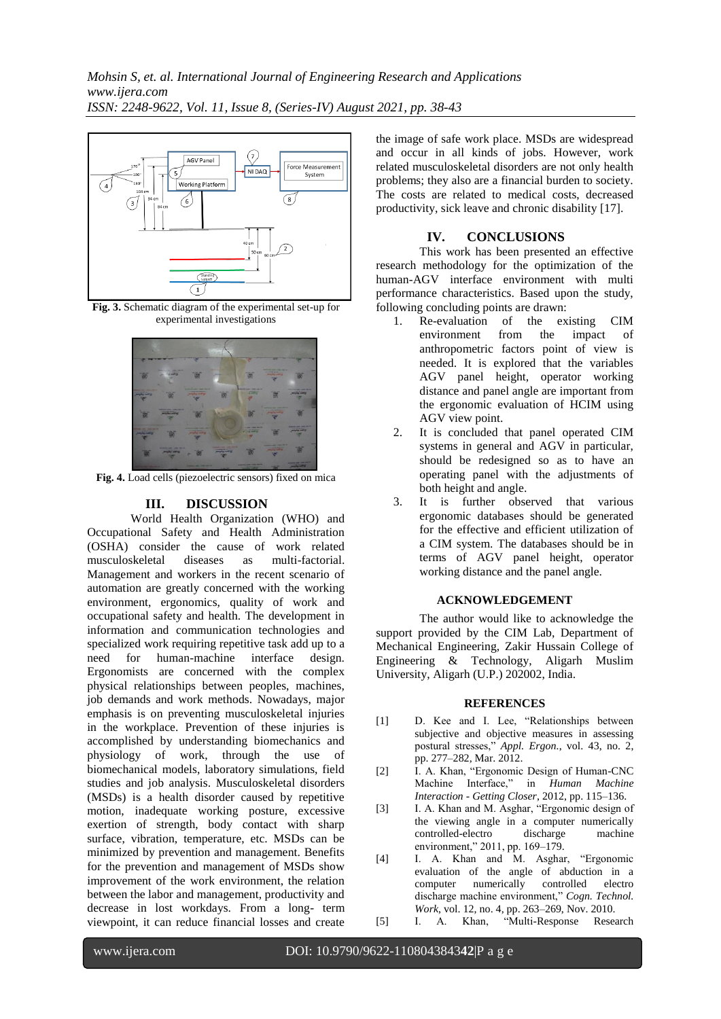

**Fig. 3.** Schematic diagram of the experimental set-up for experimental investigations



**Fig. 4.** Load cells (piezoelectric sensors) fixed on mica

# **III. DISCUSSION**

World Health Organization (WHO) and Occupational Safety and Health Administration (OSHA) consider the cause of work related musculoskeletal diseases as multi-factorial. Management and workers in the recent scenario of automation are greatly concerned with the working environment, ergonomics, quality of work and occupational safety and health. The development in information and communication technologies and specialized work requiring repetitive task add up to a need for human-machine interface design. Ergonomists are concerned with the complex physical relationships between peoples, machines, job demands and work methods. Nowadays, major emphasis is on preventing musculoskeletal injuries in the workplace. Prevention of these injuries is accomplished by understanding biomechanics and physiology of work, through the use of biomechanical models, laboratory simulations, field studies and job analysis. Musculoskeletal disorders (MSDs) is a health disorder caused by repetitive motion, inadequate working posture, excessive exertion of strength, body contact with sharp surface, vibration, temperature, etc. MSDs can be minimized by prevention and management. Benefits for the prevention and management of MSDs show improvement of the work environment, the relation between the labor and management, productivity and decrease in lost workdays. From a long- term viewpoint, it can reduce financial losses and create

the image of safe work place. MSDs are widespread and occur in all kinds of jobs. However, work related musculoskeletal disorders are not only health problems; they also are a financial burden to society. The costs are related to medical costs, decreased productivity, sick leave and chronic disability [17].

## **IV. CONCLUSIONS**

This work has been presented an effective research methodology for the optimization of the human-AGV interface environment with multi performance characteristics. Based upon the study, following concluding points are drawn:

- 1. Re-evaluation of the existing CIM environment from the impact of anthropometric factors point of view is needed. It is explored that the variables AGV panel height, operator working distance and panel angle are important from the ergonomic evaluation of HCIM using AGV view point.
- 2. It is concluded that panel operated CIM systems in general and AGV in particular, should be redesigned so as to have an operating panel with the adjustments of both height and angle.
- 3. It is further observed that various ergonomic databases should be generated for the effective and efficient utilization of a CIM system. The databases should be in terms of AGV panel height, operator working distance and the panel angle.

#### **ACKNOWLEDGEMENT**

The author would like to acknowledge the support provided by the CIM Lab, Department of Mechanical Engineering, Zakir Hussain College of Engineering & Technology, Aligarh Muslim University, Aligarh (U.P.) 202002, India.

#### **REFERENCES**

- [1] D. Kee and I. Lee, "Relationships between subjective and objective measures in assessing postural stresses," *Appl. Ergon.*, vol. 43, no. 2, pp. 277–282, Mar. 2012.
- [2] I. A. Khan, "Ergonomic Design of Human-CNC Machine Interface," in *Human Machine Interaction - Getting Closer*, 2012, pp. 115–136.
- [3] I. A. Khan and M. Asghar, "Ergonomic design of the viewing angle in a computer numerically controlled-electro discharge machine environment," 2011, pp. 169–179.
- [4] I. A. Khan and M. Asghar, "Ergonomic evaluation of the angle of abduction in a computer numerically controlled electro discharge machine environment," *Cogn. Technol. Work*, vol. 12, no. 4, pp. 263–269, Nov. 2010.
- [5] I. A. Khan, "Multi-Response Research